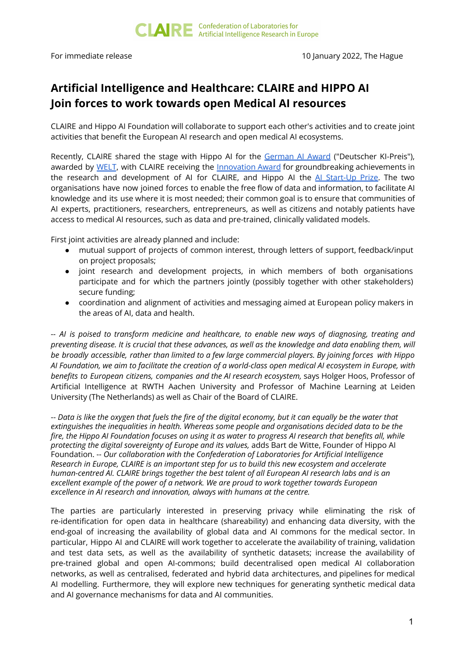## **Artificial Intelligence and Healthcare: CLAIRE and HIPPO AI Join forces to work towards open Medical AI resources**

CLAIRE and Hippo AI Foundation will collaborate to support each other's activities and to create joint activities that benefit the European AI research and open medical AI ecosystems.

Recently, CLAIRE shared the stage with Hippo AI for the [German](https://ki-berlin.de/en/blog/article/german-ai-prize-2021) AI Award ("Deutscher KI-Preis"), awarded by [WELT](https://www.welt.de/), with CLAIRE receiving the [Innovation](https://www.axelspringer.com/de/ax-press-release/welt-zeichnet-mit-dem-deutschen-ki-preis-2021-herausragende-leistungen-zu-kuenstlicher-intelligenz-aus?utm_source=dlvr.it&utm_medium=twitter) Award for groundbreaking achievements in the research and development of AI for CLAIRE, and Hippo AI the AI [Start-Up](https://www.axelspringer.com/de/ax-press-release/welt-zeichnet-mit-dem-deutschen-ki-preis-2021-herausragende-leistungen-zu-kuenstlicher-intelligenz-aus?utm_source=dlvr.it&utm_medium=twitter) Prize. The two organisations have now joined forces to enable the free flow of data and information, to facilitate AI knowledge and its use where it is most needed; their common goal is to ensure that communities of AI experts, practitioners, researchers, entrepreneurs, as well as citizens and notably patients have access to medical AI resources, such as data and pre-trained, clinically validated models.

First joint activities are already planned and include:

- mutual support of projects of common interest, through letters of support, feedback/input on project proposals;
- joint research and development projects, in which members of both organisations participate and for which the partners jointly (possibly together with other stakeholders) secure funding;
- coordination and alignment of activities and messaging aimed at European policy makers in the areas of AI, data and health.

*-- AI is poised to transform medicine and healthcare, to enable new ways of diagnosing, treating and* preventing disease. It is crucial that these advances, as well as the knowledge and data enabling them, will be broadly accessible, rather than limited to a few large commercial players. By joining forces with Hippo Al Foundation, we aim to facilitate the creation of a world-class open medical Al ecosystem in Europe, with *benefits to European citizens, companies and the AI research ecosystem,* says Holger Hoos, Professor of Artificial Intelligence at RWTH Aachen University and Professor of Machine Learning at Leiden University (The Netherlands) as well as Chair of the Board of CLAIRE.

-- Data is like the oxygen that fuels the fire of the digital economy, but it can equally be the water that *extinguishes the inequalities in health. Whereas some people and organisations decided data to be the* fire, the Hippo AI Foundation focuses on using it as water to progress AI research that benefits all, while *protecting the digital sovereignty of Europe and its values,* adds Bart de Witte, Founder of Hippo AI Foundation. -- *Our collaboration with the Confederation of Laboratories for Artificial Intelligence Research in Europe, CLAIRE is an important step for us to build this new ecosystem and accelerate human-centred AI. CLAIRE brings together the best talent of all European AI research labs and is an excellent example of the power of a network. We are proud to work together towards European excellence in AI research and innovation, always with humans at the centre.*

The parties are particularly interested in preserving privacy while eliminating the risk of re-identification for open data in healthcare (shareability) and enhancing data diversity, with the end-goal of increasing the availability of global data and AI commons for the medical sector. In particular, Hippo AI and CLAIRE will work together to accelerate the availability of training, validation and test data sets, as well as the availability of synthetic datasets; increase the availability of pre-trained global and open AI-commons; build decentralised open medical AI collaboration networks, as well as centralised, federated and hybrid data architectures, and pipelines for medical AI modelling. Furthermore, they will explore new techniques for generating synthetic medical data and AI governance mechanisms for data and AI communities.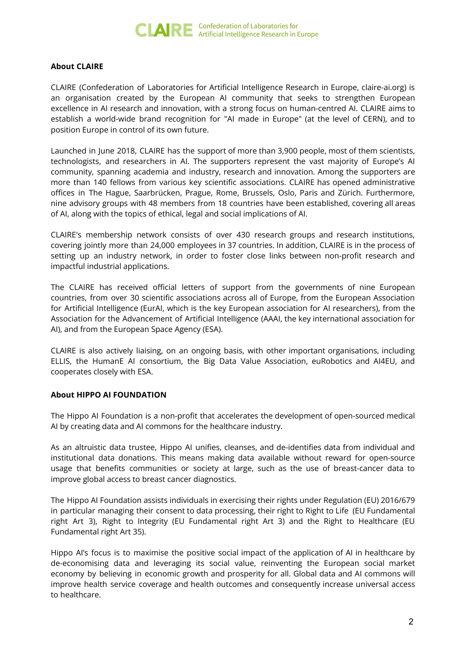

## **About CLAIRE**

CLAIRE (Confederation of Laboratories for Artificial Intelligence Research in Europe, claire-ai.org) is an organisation created by the European AI community that seeks to strengthen European excellence in AI research and innovation, with a strong focus on human-centred AI. CLAIRE aims to establish a world-wide brand recognition for "AI made in Europe" (at the level of CERN), and to position Europe in control of its own future.

Launched in June 2018, CLAIRE has the support of more than 3,900 people, most of them scientists, technologists, and researchers in AI. The supporters represent the vast majority of Europe's AI community, spanning academia and industry, research and innovation. Among the supporters are more than 140 fellows from various key scientific associations. CLAIRE has opened administrative offices in The Hague, Saarbrücken, Prague, Rome, Brussels, Oslo, Paris and Zürich. Furthermore, nine advisory groups with 48 members from 18 countries have been established, covering all areas of AI, along with the topics of ethical, legal and social implications of AI.

CLAIRE's membership network consists of over 430 research groups and research institutions, covering jointly more than 24,000 employees in 37 countries. In addition, CLAIRE is in the process of setting up an industry network, in order to foster close links between non-profit research and impactful industrial applications.

The CLAIRE has received official letters of support from the governments of nine European countries, from over 30 scientific associations across all of Europe, from the European Association for Artificial Intelligence (EurAI, which is the key European association for AI researchers), from the Association for the Advancement of Artificial Intelligence (AAAI, the key international association for AI), and from the European Space Agency (ESA).

CLAIRE is also actively liaising, on an ongoing basis, with other important organisations, including ELLIS, the HumanE AI consortium, the Big Data Value Association, euRobotics and AI4EU, and cooperates closely with ESA.

## **About HIPPO AI FOUNDATION**

The Hippo AI Foundation is a non-profit that accelerates the development of open-sourced medical AI by creating data and AI commons for the healthcare industry.

As an altruistic data trustee, Hippo AI unifies, cleanses, and de-identifies data from individual and institutional data donations. This means making data available without reward for open-source usage that benefits communities or society at large, such as the use of breast-cancer data to improve global access to breast cancer diagnostics.

The Hippo AI Foundation assists individuals in exercising their rights under Regulation (EU) 2016/679 in particular managing their consent to data processing, their right to Right to Life (EU Fundamental right Art 3), Right to Integrity (EU Fundamental right Art 3) and the Right to Healthcare (EU Fundamental right Art 35).

Hippo AI's focus is to maximise the positive social impact of the application of AI in healthcare by de-economising data and leveraging its social value, reinventing the European social market economy by believing in economic growth and prosperity for all. Global data and AI commons will improve health service coverage and health outcomes and consequently increase universal access to healthcare.